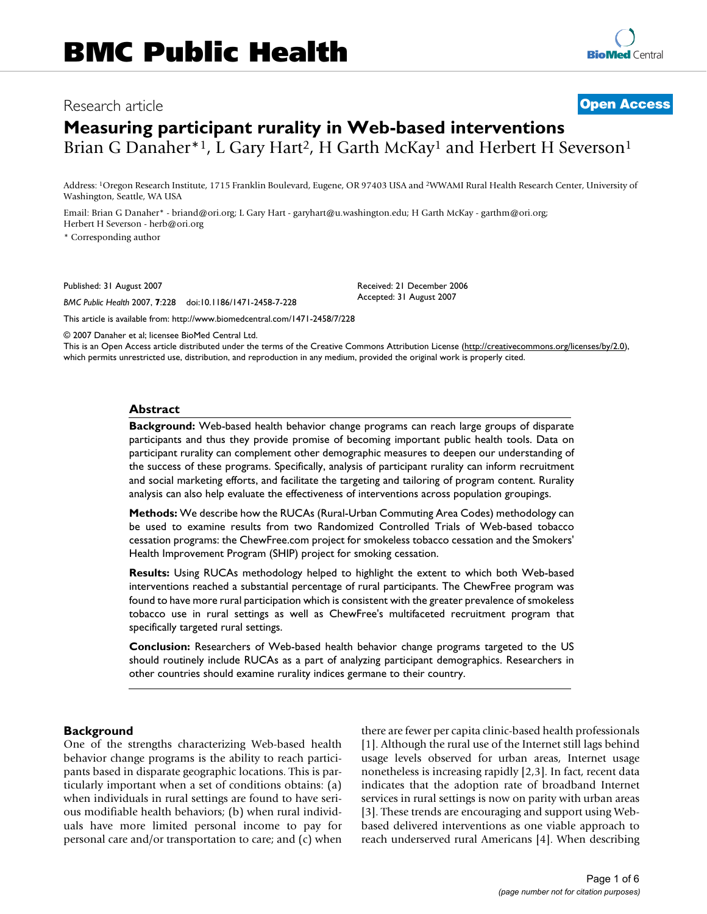# Research article **[Open Access](http://www.biomedcentral.com/info/about/charter/) Measuring participant rurality in Web-based interventions** Brian G Danaher\*1, L Gary Hart<sup>2</sup>, H Garth McKay<sup>1</sup> and Herbert H Severson<sup>1</sup>

Address: 1Oregon Research Institute, 1715 Franklin Boulevard, Eugene, OR 97403 USA and 2WWAMI Rural Health Research Center, University of Washington, Seattle, WA USA

Email: Brian G Danaher\* - briand@ori.org; L Gary Hart - garyhart@u.washington.edu; H Garth McKay - garthm@ori.org; Herbert H Severson - herb@ori.org

\* Corresponding author

Published: 31 August 2007

*BMC Public Health* 2007, **7**:228 doi:10.1186/1471-2458-7-228

[This article is available from: http://www.biomedcentral.com/1471-2458/7/228](http://www.biomedcentral.com/1471-2458/7/228)

© 2007 Danaher et al; licensee BioMed Central Ltd.

This is an Open Access article distributed under the terms of the Creative Commons Attribution License [\(http://creativecommons.org/licenses/by/2.0\)](http://creativecommons.org/licenses/by/2.0), which permits unrestricted use, distribution, and reproduction in any medium, provided the original work is properly cited.

Received: 21 December 2006 Accepted: 31 August 2007

#### **Abstract**

**Background:** Web-based health behavior change programs can reach large groups of disparate participants and thus they provide promise of becoming important public health tools. Data on participant rurality can complement other demographic measures to deepen our understanding of the success of these programs. Specifically, analysis of participant rurality can inform recruitment and social marketing efforts, and facilitate the targeting and tailoring of program content. Rurality analysis can also help evaluate the effectiveness of interventions across population groupings.

**Methods:** We describe how the RUCAs (Rural-Urban Commuting Area Codes) methodology can be used to examine results from two Randomized Controlled Trials of Web-based tobacco cessation programs: the ChewFree.com project for smokeless tobacco cessation and the Smokers' Health Improvement Program (SHIP) project for smoking cessation.

**Results:** Using RUCAs methodology helped to highlight the extent to which both Web-based interventions reached a substantial percentage of rural participants. The ChewFree program was found to have more rural participation which is consistent with the greater prevalence of smokeless tobacco use in rural settings as well as ChewFree's multifaceted recruitment program that specifically targeted rural settings.

**Conclusion:** Researchers of Web-based health behavior change programs targeted to the US should routinely include RUCAs as a part of analyzing participant demographics. Researchers in other countries should examine rurality indices germane to their country.

#### **Background**

One of the strengths characterizing Web-based health behavior change programs is the ability to reach participants based in disparate geographic locations. This is particularly important when a set of conditions obtains: (a) when individuals in rural settings are found to have serious modifiable health behaviors; (b) when rural individuals have more limited personal income to pay for personal care and/or transportation to care; and (c) when there are fewer per capita clinic-based health professionals [1]. Although the rural use of the Internet still lags behind usage levels observed for urban areas, Internet usage nonetheless is increasing rapidly [2,3]. In fact, recent data indicates that the adoption rate of broadband Internet services in rural settings is now on parity with urban areas [3]. These trends are encouraging and support using Webbased delivered interventions as one viable approach to reach underserved rural Americans [4]. When describing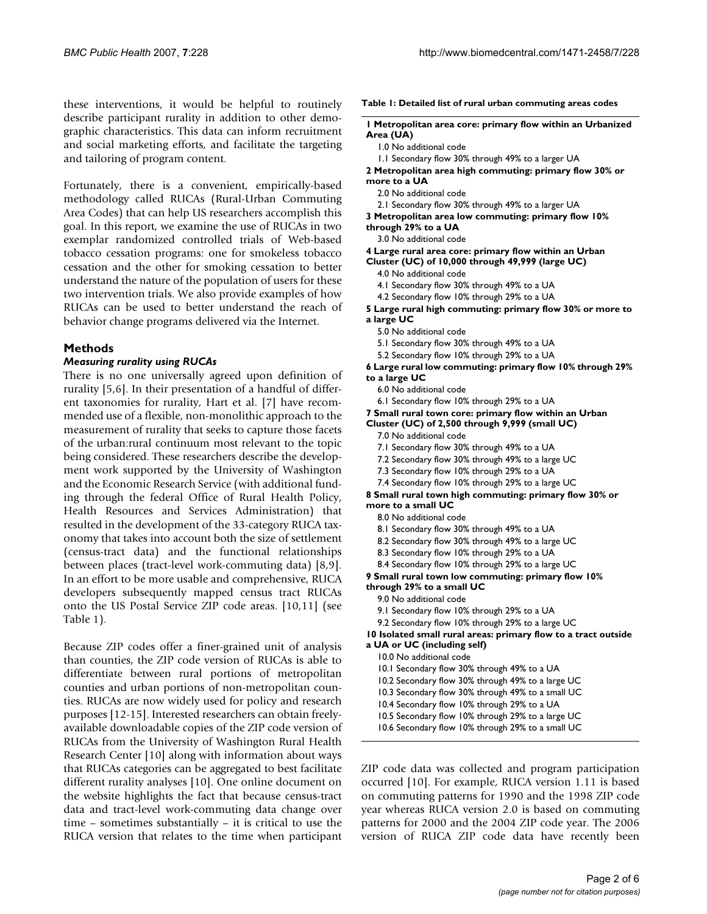these interventions, it would be helpful to routinely describe participant rurality in addition to other demographic characteristics. This data can inform recruitment and social marketing efforts, and facilitate the targeting and tailoring of program content.

Fortunately, there is a convenient, empirically-based methodology called RUCAs (Rural-Urban Commuting Area Codes) that can help US researchers accomplish this goal. In this report, we examine the use of RUCAs in two exemplar randomized controlled trials of Web-based tobacco cessation programs: one for smokeless tobacco cessation and the other for smoking cessation to better understand the nature of the population of users for these two intervention trials. We also provide examples of how RUCAs can be used to better understand the reach of behavior change programs delivered via the Internet.

# **Methods**

## *Measuring rurality using RUCAs*

There is no one universally agreed upon definition of rurality [5,6]. In their presentation of a handful of different taxonomies for rurality, Hart et al. [7] have recommended use of a flexible, non-monolithic approach to the measurement of rurality that seeks to capture those facets of the urban:rural continuum most relevant to the topic being considered. These researchers describe the development work supported by the University of Washington and the Economic Research Service (with additional funding through the federal Office of Rural Health Policy, Health Resources and Services Administration) that resulted in the development of the 33-category RUCA taxonomy that takes into account both the size of settlement (census-tract data) and the functional relationships between places (tract-level work-commuting data) [8,9]. In an effort to be more usable and comprehensive, RUCA developers subsequently mapped census tract RUCAs onto the US Postal Service ZIP code areas. [10,11] (see Table 1).

Because ZIP codes offer a finer-grained unit of analysis than counties, the ZIP code version of RUCAs is able to differentiate between rural portions of metropolitan counties and urban portions of non-metropolitan counties. RUCAs are now widely used for policy and research purposes [12-15]. Interested researchers can obtain freelyavailable downloadable copies of the ZIP code version of RUCAs from the University of Washington Rural Health Research Center [10] along with information about ways that RUCAs categories can be aggregated to best facilitate different rurality analyses [10]. One online document on the website highlights the fact that because census-tract data and tract-level work-commuting data change over time – sometimes substantially – it is critical to use the RUCA version that relates to the time when participant **Table 1: Detailed list of rural urban commuting areas codes**

**1 Metropolitan area core: primary flow within an Urbanized Area (UA)** 1.0 No additional code 1.1 Secondary flow 30% through 49% to a larger UA **2 Metropolitan area high commuting: primary flow 30% or more to a UA** 2.0 No additional code 2.1 Secondary flow 30% through 49% to a larger UA **3 Metropolitan area low commuting: primary flow 10% through 29% to a UA** 3.0 No additional code **4 Large rural area core: primary flow within an Urban Cluster (UC) of 10,000 through 49,999 (large UC)** 4.0 No additional code 4.1 Secondary flow 30% through 49% to a UA 4.2 Secondary flow 10% through 29% to a UA **5 Large rural high commuting: primary flow 30% or more to a large UC** 5.0 No additional code 5.1 Secondary flow 30% through 49% to a UA 5.2 Secondary flow 10% through 29% to a UA **6 Large rural low commuting: primary flow 10% through 29% to a large UC** 6.0 No additional code 6.1 Secondary flow 10% through 29% to a UA **7 Small rural town core: primary flow within an Urban Cluster (UC) of 2,500 through 9,999 (small UC)** 7.0 No additional code 7.1 Secondary flow 30% through 49% to a UA 7.2 Secondary flow 30% through 49% to a large UC 7.3 Secondary flow 10% through 29% to a UA 7.4 Secondary flow 10% through 29% to a large UC **8 Small rural town high commuting: primary flow 30% or more to a small UC** 8.0 No additional code 8.1 Secondary flow 30% through 49% to a UA 8.2 Secondary flow 30% through 49% to a large UC 8.3 Secondary flow 10% through 29% to a UA 8.4 Secondary flow 10% through 29% to a large UC **9 Small rural town low commuting: primary flow 10% through 29% to a small UC** 9.0 No additional code 9.1 Secondary flow 10% through 29% to a UA 9.2 Secondary flow 10% through 29% to a large UC **10 Isolated small rural areas: primary flow to a tract outside a UA or UC (including self)** 10.0 No additional code 10.1 Secondary flow 30% through 49% to a UA 10.2 Secondary flow 30% through 49% to a large UC 10.3 Secondary flow 30% through 49% to a small UC 10.4 Secondary flow 10% through 29% to a UA 10.5 Secondary flow 10% through 29% to a large UC 10.6 Secondary flow 10% through 29% to a small UC

ZIP code data was collected and program participation occurred [10]. For example, RUCA version 1.11 is based on commuting patterns for 1990 and the 1998 ZIP code

year whereas RUCA version 2.0 is based on commuting patterns for 2000 and the 2004 ZIP code year. The 2006 version of RUCA ZIP code data have recently been

> Page 2 of 6 *(page number not for citation purposes)*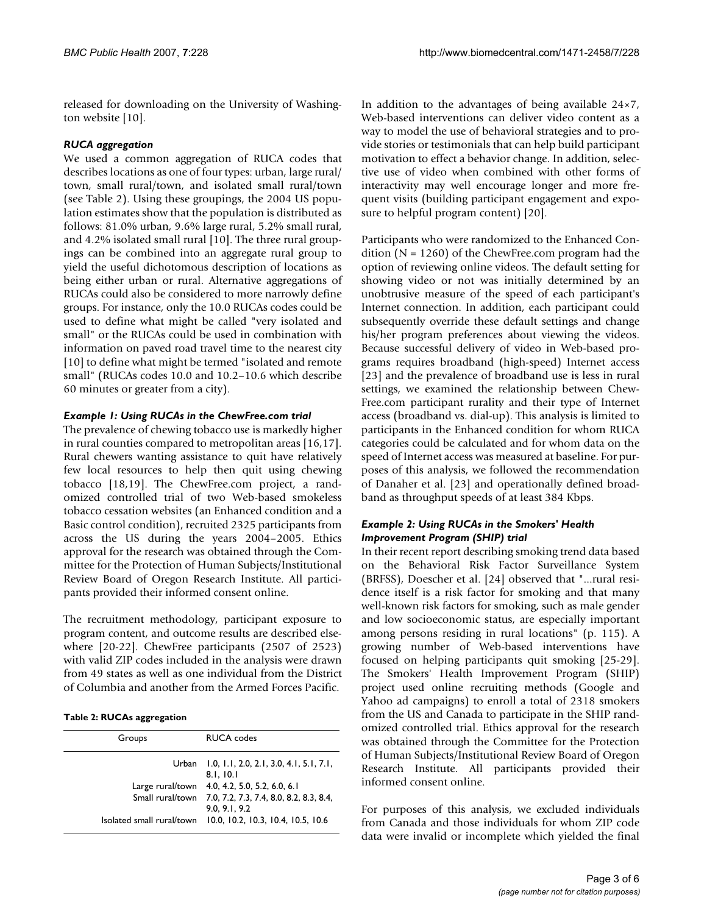released for downloading on the University of Washington website [10].

#### *RUCA aggregation*

We used a common aggregation of RUCA codes that describes locations as one of four types: urban, large rural/ town, small rural/town, and isolated small rural/town (see Table 2). Using these groupings, the 2004 US population estimates show that the population is distributed as follows: 81.0% urban, 9.6% large rural, 5.2% small rural, and 4.2% isolated small rural [10]. The three rural groupings can be combined into an aggregate rural group to yield the useful dichotomous description of locations as being either urban or rural. Alternative aggregations of RUCAs could also be considered to more narrowly define groups. For instance, only the 10.0 RUCAs codes could be used to define what might be called "very isolated and small" or the RUCAs could be used in combination with information on paved road travel time to the nearest city [10] to define what might be termed "isolated and remote small" (RUCAs codes 10.0 and 10.2–10.6 which describe 60 minutes or greater from a city).

#### *Example 1: Using RUCAs in the ChewFree.com trial*

The prevalence of chewing tobacco use is markedly higher in rural counties compared to metropolitan areas [16,17]. Rural chewers wanting assistance to quit have relatively few local resources to help then quit using chewing tobacco [18,19]. The ChewFree.com project, a randomized controlled trial of two Web-based smokeless tobacco cessation websites (an Enhanced condition and a Basic control condition), recruited 2325 participants from across the US during the years 2004–2005. Ethics approval for the research was obtained through the Committee for the Protection of Human Subjects/Institutional Review Board of Oregon Research Institute. All participants provided their informed consent online.

The recruitment methodology, participant exposure to program content, and outcome results are described elsewhere [20-22]. ChewFree participants (2507 of 2523) with valid ZIP codes included in the analysis were drawn from 49 states as well as one individual from the District of Columbia and another from the Armed Forces Pacific.

#### **Table 2: RUCAs aggregation**

| Groups | RUCA codes                                                                |
|--------|---------------------------------------------------------------------------|
|        | Urban I.0, I.1, 2.0, 2.1, 3.0, 4.1, 5.1, 7.1,<br>8.1.10.1                 |
|        | Large rural/town 4.0, 4.2, 5.0, 5.2, 6.0, 6.1                             |
|        | Small rural/town 7.0, 7.2, 7.3, 7.4, 8.0, 8.2, 8.3, 8.4,<br>9.0, 9.1, 9.2 |
|        | Isolated small rural/town 10.0, 10.2, 10.3, 10.4, 10.5, 10.6              |

In addition to the advantages of being available 24×7, Web-based interventions can deliver video content as a way to model the use of behavioral strategies and to provide stories or testimonials that can help build participant motivation to effect a behavior change. In addition, selective use of video when combined with other forms of interactivity may well encourage longer and more frequent visits (building participant engagement and exposure to helpful program content) [20].

Participants who were randomized to the Enhanced Condition ( $N = 1260$ ) of the ChewFree.com program had the option of reviewing online videos. The default setting for showing video or not was initially determined by an unobtrusive measure of the speed of each participant's Internet connection. In addition, each participant could subsequently override these default settings and change his/her program preferences about viewing the videos. Because successful delivery of video in Web-based programs requires broadband (high-speed) Internet access [23] and the prevalence of broadband use is less in rural settings, we examined the relationship between Chew-Free.com participant rurality and their type of Internet access (broadband vs. dial-up). This analysis is limited to participants in the Enhanced condition for whom RUCA categories could be calculated and for whom data on the speed of Internet access was measured at baseline. For purposes of this analysis, we followed the recommendation of Danaher et al. [23] and operationally defined broadband as throughput speeds of at least 384 Kbps.

## *Example 2: Using RUCAs in the Smokers' Health Improvement Program (SHIP) trial*

In their recent report describing smoking trend data based on the Behavioral Risk Factor Surveillance System (BRFSS), Doescher et al. [24] observed that "...rural residence itself is a risk factor for smoking and that many well-known risk factors for smoking, such as male gender and low socioeconomic status, are especially important among persons residing in rural locations" (p. 115). A growing number of Web-based interventions have focused on helping participants quit smoking [25-29]. The Smokers' Health Improvement Program (SHIP) project used online recruiting methods (Google and Yahoo ad campaigns) to enroll a total of 2318 smokers from the US and Canada to participate in the SHIP randomized controlled trial. Ethics approval for the research was obtained through the Committee for the Protection of Human Subjects/Institutional Review Board of Oregon Research Institute. All participants provided their informed consent online.

For purposes of this analysis, we excluded individuals from Canada and those individuals for whom ZIP code data were invalid or incomplete which yielded the final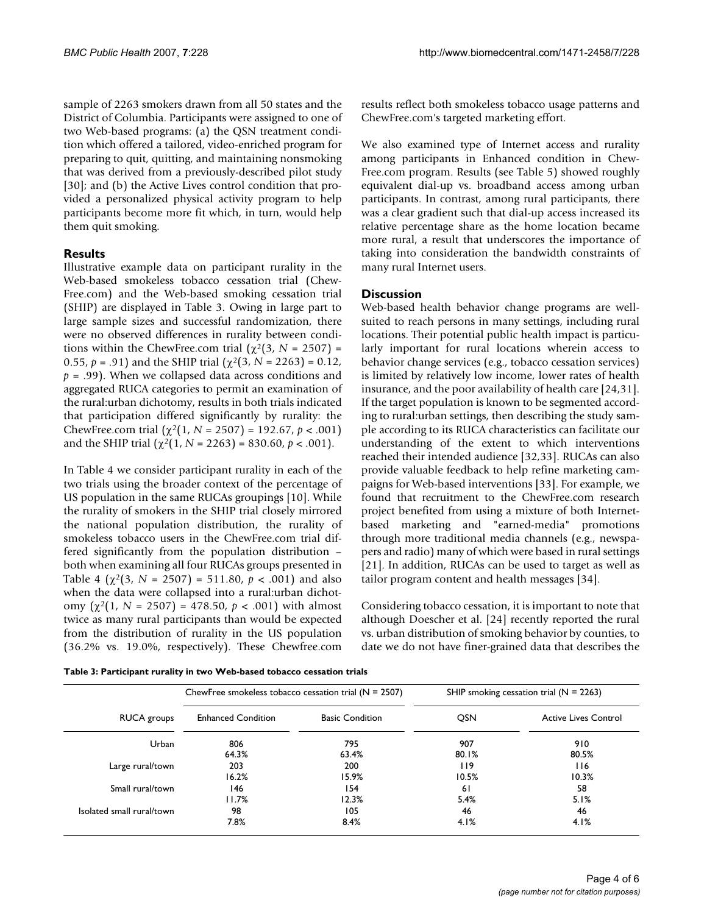sample of 2263 smokers drawn from all 50 states and the District of Columbia. Participants were assigned to one of two Web-based programs: (a) the QSN treatment condition which offered a tailored, video-enriched program for preparing to quit, quitting, and maintaining nonsmoking that was derived from a previously-described pilot study [30]; and (b) the Active Lives control condition that provided a personalized physical activity program to help participants become more fit which, in turn, would help them quit smoking.

# **Results**

Illustrative example data on participant rurality in the Web-based smokeless tobacco cessation trial (Chew-Free.com) and the Web-based smoking cessation trial (SHIP) are displayed in Table 3. Owing in large part to large sample sizes and successful randomization, there were no observed differences in rurality between conditions within the ChewFree.com trial  $(\chi^2(3, N = 2507))$  = 0.55,  $p = .91$ ) and the SHIP trial ( $χ²(3, N = 2263) = 0.12$ ,  $p = .99$ ). When we collapsed data across conditions and aggregated RUCA categories to permit an examination of the rural:urban dichotomy, results in both trials indicated that participation differed significantly by rurality: the ChewFree.com trial (χ2(1, *N* = 2507) = 192.67, *p* < .001) and the SHIP trial  $(\chi^2(1, N = 2263) = 830.60, p < .001)$ .

In Table 4 we consider participant rurality in each of the two trials using the broader context of the percentage of US population in the same RUCAs groupings [10]. While the rurality of smokers in the SHIP trial closely mirrored the national population distribution, the rurality of smokeless tobacco users in the ChewFree.com trial differed significantly from the population distribution – both when examining all four RUCAs groups presented in Table 4 ( $\chi^2(3, N = 2507) = 511.80, p < .001$ ) and also when the data were collapsed into a rural:urban dichotomy (χ2(1, *N* = 2507) = 478.50, *p* < .001) with almost twice as many rural participants than would be expected from the distribution of rurality in the US population (36.2% vs. 19.0%, respectively). These Chewfree.com

results reflect both smokeless tobacco usage patterns and ChewFree.com's targeted marketing effort.

We also examined type of Internet access and rurality among participants in Enhanced condition in Chew-Free.com program. Results (see Table 5) showed roughly equivalent dial-up vs. broadband access among urban participants. In contrast, among rural participants, there was a clear gradient such that dial-up access increased its relative percentage share as the home location became more rural, a result that underscores the importance of taking into consideration the bandwidth constraints of many rural Internet users.

# **Discussion**

Web-based health behavior change programs are wellsuited to reach persons in many settings, including rural locations. Their potential public health impact is particularly important for rural locations wherein access to behavior change services (e.g., tobacco cessation services) is limited by relatively low income, lower rates of health insurance, and the poor availability of health care [24,31]. If the target population is known to be segmented according to rural:urban settings, then describing the study sample according to its RUCA characteristics can facilitate our understanding of the extent to which interventions reached their intended audience [32,33]. RUCAs can also provide valuable feedback to help refine marketing campaigns for Web-based interventions [33]. For example, we found that recruitment to the ChewFree.com research project benefited from using a mixture of both Internetbased marketing and "earned-media" promotions through more traditional media channels (e.g., newspapers and radio) many of which were based in rural settings [21]. In addition, RUCAs can be used to target as well as tailor program content and health messages [34].

Considering tobacco cessation, it is important to note that although Doescher et al. [24] recently reported the rural vs. urban distribution of smoking behavior by counties, to date we do not have finer-grained data that describes the

|                           | ChewFree smokeless tobacco cessation trial ( $N = 2507$ ) |                        | SHIP smoking cessation trial ( $N = 2263$ ) |                             |
|---------------------------|-----------------------------------------------------------|------------------------|---------------------------------------------|-----------------------------|
| RUCA groups               | <b>Enhanced Condition</b>                                 | <b>Basic Condition</b> | <b>OSN</b>                                  | <b>Active Lives Control</b> |
| Urban                     | 806                                                       | 795                    | 907                                         | 910                         |
|                           | 64.3%                                                     | 63.4%                  | 80.1%                                       | 80.5%                       |
| Large rural/town          | 203                                                       | 200                    | 119                                         | 116                         |
|                           | 16.2%                                                     | 15.9%                  | 10.5%                                       | 10.3%                       |
| Small rural/town          | 146                                                       | 154                    | <sup>61</sup>                               | 58                          |
|                           | 11.7%                                                     | 12.3%                  | 5.4%                                        | 5.1%                        |
| Isolated small rural/town | 98                                                        | 105                    | 46                                          | 46                          |
|                           | 7.8%                                                      | 8.4%                   | 4.1%                                        | 4.1%                        |

**Table 3: Participant rurality in two Web-based tobacco cessation trials**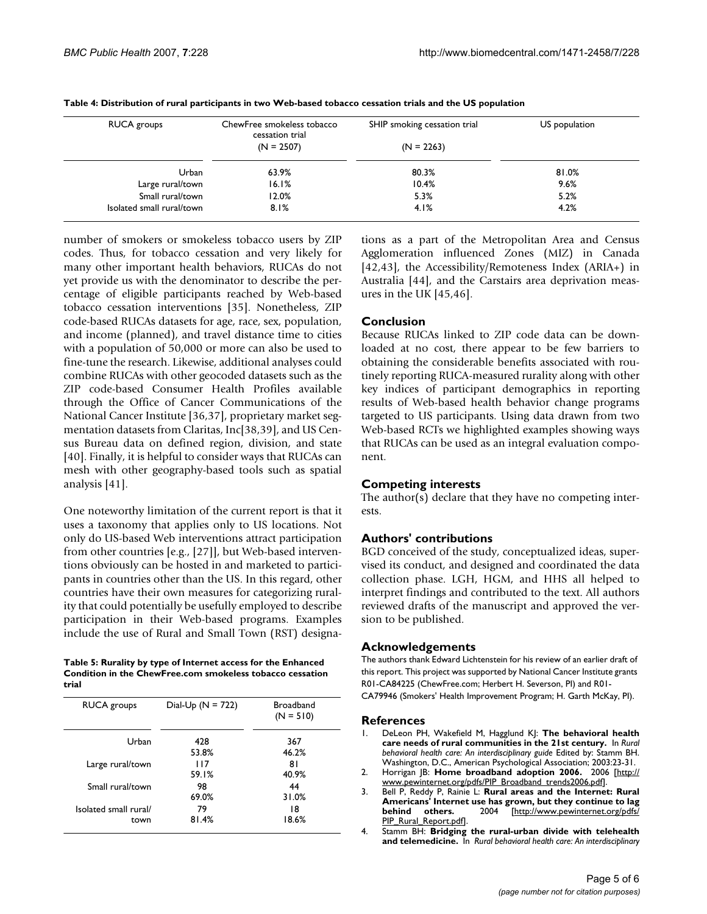| RUCA groups               | ChewFree smokeless tobacco<br>cessation trial | SHIP smoking cessation trial | US population |
|---------------------------|-----------------------------------------------|------------------------------|---------------|
|                           | $(N = 2507)$                                  | $(N = 2263)$                 |               |
| Urban                     | 63.9%                                         | 80.3%                        | 81.0%         |
| Large rural/town          | 16.1%                                         | 10.4%                        | 9.6%          |
| Small rural/town          | 12.0%                                         | 5.3%                         | 5.2%          |
| Isolated small rural/town | 8.1%                                          | 4.1%                         | 4.2%          |

**Table 4: Distribution of rural participants in two Web-based tobacco cessation trials and the US population**

number of smokers or smokeless tobacco users by ZIP codes. Thus, for tobacco cessation and very likely for many other important health behaviors, RUCAs do not yet provide us with the denominator to describe the percentage of eligible participants reached by Web-based tobacco cessation interventions [35]. Nonetheless, ZIP code-based RUCAs datasets for age, race, sex, population, and income (planned), and travel distance time to cities with a population of 50,000 or more can also be used to fine-tune the research. Likewise, additional analyses could combine RUCAs with other geocoded datasets such as the ZIP code-based Consumer Health Profiles available through the Office of Cancer Communications of the National Cancer Institute [36,37], proprietary market segmentation datasets from Claritas, Inc[38,39], and US Census Bureau data on defined region, division, and state [40]. Finally, it is helpful to consider ways that RUCAs can mesh with other geography-based tools such as spatial analysis [41].

One noteworthy limitation of the current report is that it uses a taxonomy that applies only to US locations. Not only do US-based Web interventions attract participation from other countries [e.g., [27]], but Web-based interventions obviously can be hosted in and marketed to participants in countries other than the US. In this regard, other countries have their own measures for categorizing rurality that could potentially be usefully employed to describe participation in their Web-based programs. Examples include the use of Rural and Small Town (RST) designa-

**Table 5: Rurality by type of Internet access for the Enhanced Condition in the ChewFree.com smokeless tobacco cessation trial**

| <b>RUCA</b> groups    | Dial-Up $(N = 722)$ | <b>Broadband</b><br>$(N = 510)$ |
|-----------------------|---------------------|---------------------------------|
| Urban                 | 428                 | 367                             |
|                       | 53.8%               | 46.2%                           |
| Large rural/town      | 117                 | 81                              |
|                       | 59.1%               | 40.9%                           |
| Small rural/town      | 98                  | 44                              |
|                       | 69.0%               | 31.0%                           |
| Isolated small rural/ | 79                  | 18                              |
| town                  | 81.4%               | 18.6%                           |

tions as a part of the Metropolitan Area and Census Agglomeration influenced Zones (MIZ) in Canada [42,43], the Accessibility/Remoteness Index (ARIA+) in Australia [44], and the Carstairs area deprivation measures in the UK [45,46].

# **Conclusion**

Because RUCAs linked to ZIP code data can be downloaded at no cost, there appear to be few barriers to obtaining the considerable benefits associated with routinely reporting RUCA-measured rurality along with other key indices of participant demographics in reporting results of Web-based health behavior change programs targeted to US participants. Using data drawn from two Web-based RCTs we highlighted examples showing ways that RUCAs can be used as an integral evaluation component.

## **Competing interests**

The author(s) declare that they have no competing interests.

## **Authors' contributions**

BGD conceived of the study, conceptualized ideas, supervised its conduct, and designed and coordinated the data collection phase. LGH, HGM, and HHS all helped to interpret findings and contributed to the text. All authors reviewed drafts of the manuscript and approved the version to be published.

## **Acknowledgements**

The authors thank Edward Lichtenstein for his review of an earlier draft of this report. This project was supported by National Cancer Institute grants R01-CA84225 (ChewFree.com; Herbert H. Severson, PI) and R01- CA79946 (Smokers' Health Improvement Program; H. Garth McKay, PI).

#### **References**

- 1. DeLeon PH, Wakefield M, Hagglund KJ: **The behavioral health care needs of rural communities in the 21st century.** In *Rural behavioral health care: An interdisciplinary guide* Edited by: Stamm BH. Washington, D.C., American Psychological Association; 2003:23-31.
- 2. Horrigan JB: **Home broadband adoption 2006.** 2006 [\[http://](http://www.pewinternet.org/pdfs/PIP_Broadband_trends2006.pdf) [www.pewinternet.org/pdfs/PIP\\_Broadband\\_trends2006.pdf\]](http://www.pewinternet.org/pdfs/PIP_Broadband_trends2006.pdf).
- Bell P, Reddy P, Rainie L: **Rural areas and the Internet: Rural Americans' Internet use has grown, but they continue to lag behind others.** 2004 [http://www.pewinternet.org/pdfs/ **behind others.** 2004 [[http://www.pewinternet.org/pdfs/](http://www.pewinternet.org/pdfs/PIP_Rural_Report.pdf) [PIP\\_Rural\\_Report.pdf](http://www.pewinternet.org/pdfs/PIP_Rural_Report.pdf)]
- 4. Stamm BH: **Bridging the rural-urban divide with telehealth and telemedicine.** In *Rural behavioral health care: An interdisciplinary*